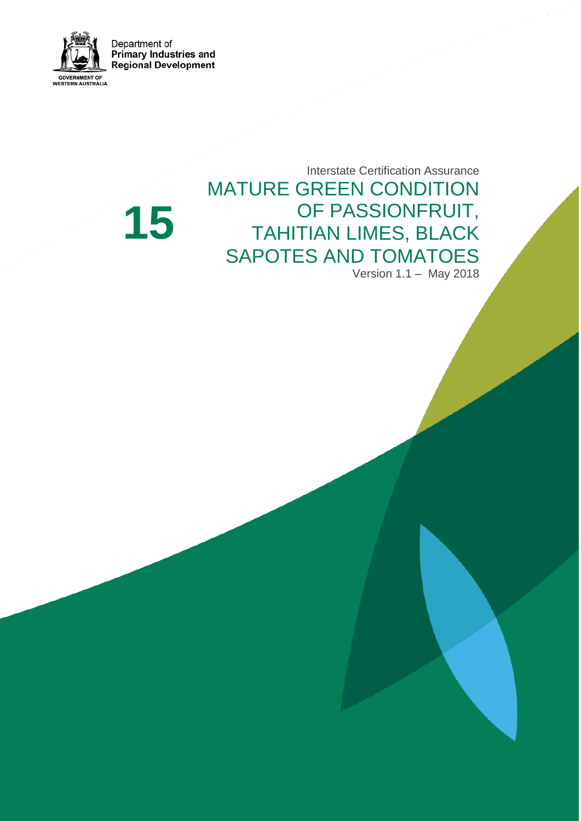Department of **Primary Industries and Regional Development** 



**15**

Interstate Certification Assurance MATURE GREEN CONDITION OF PASSIONFRUIT, TAHITIAN LIMES, BLACK SAPOTES AND TOMATOES Version 1.1 – May 2018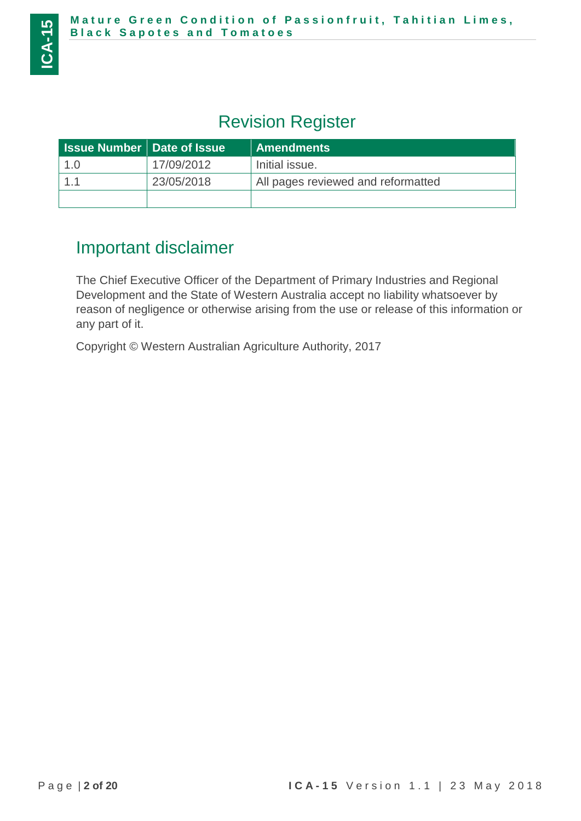# Revision Register

| <b>Issue Number   Date of Issue  </b> |            | <b>Amendments</b>                  |
|---------------------------------------|------------|------------------------------------|
| 1.0                                   | 17/09/2012 | Initial issue.                     |
|                                       | 23/05/2018 | All pages reviewed and reformatted |
|                                       |            |                                    |

# Important disclaimer

The Chief Executive Officer of the Department of Primary Industries and Regional Development and the State of Western Australia accept no liability whatsoever by reason of negligence or otherwise arising from the use or release of this information or any part of it.

Copyright © Western Australian Agriculture Authority, 2017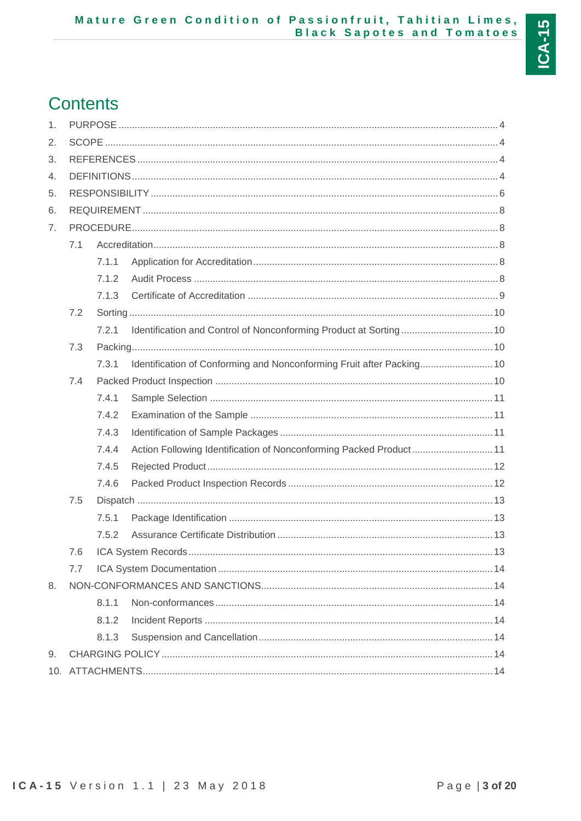# **Contents**

| 1.             |     |       |                                                                       |  |
|----------------|-----|-------|-----------------------------------------------------------------------|--|
| 2.             |     |       |                                                                       |  |
| 3.             |     |       |                                                                       |  |
| 4.             |     |       |                                                                       |  |
| 5.             |     |       |                                                                       |  |
| 6.             |     |       |                                                                       |  |
| 7 <sub>1</sub> |     |       |                                                                       |  |
|                | 7.1 |       |                                                                       |  |
|                |     | 7.1.1 |                                                                       |  |
|                |     | 7.1.2 |                                                                       |  |
|                |     | 7.1.3 |                                                                       |  |
|                | 7.2 |       |                                                                       |  |
|                |     | 7.2.1 |                                                                       |  |
|                | 7.3 |       |                                                                       |  |
|                |     | 7.3.1 | Identification of Conforming and Nonconforming Fruit after Packing 10 |  |
|                | 7.4 |       |                                                                       |  |
|                |     | 7.4.1 |                                                                       |  |
|                |     | 7.4.2 |                                                                       |  |
|                |     | 7.4.3 |                                                                       |  |
|                |     | 7.4.4 | Action Following Identification of Nonconforming Packed Product 11    |  |
|                |     | 7.4.5 |                                                                       |  |
|                |     | 7.4.6 |                                                                       |  |
|                | 7.5 |       |                                                                       |  |
|                |     | 7.5.1 |                                                                       |  |
|                |     | 7.5.2 |                                                                       |  |
|                | 7.6 |       |                                                                       |  |
|                | 7.7 |       |                                                                       |  |
| 8.             |     |       |                                                                       |  |
|                |     | 8.1.1 |                                                                       |  |
|                |     | 8.1.2 |                                                                       |  |
|                |     | 8.1.3 |                                                                       |  |
| 9.             |     |       |                                                                       |  |
|                |     |       |                                                                       |  |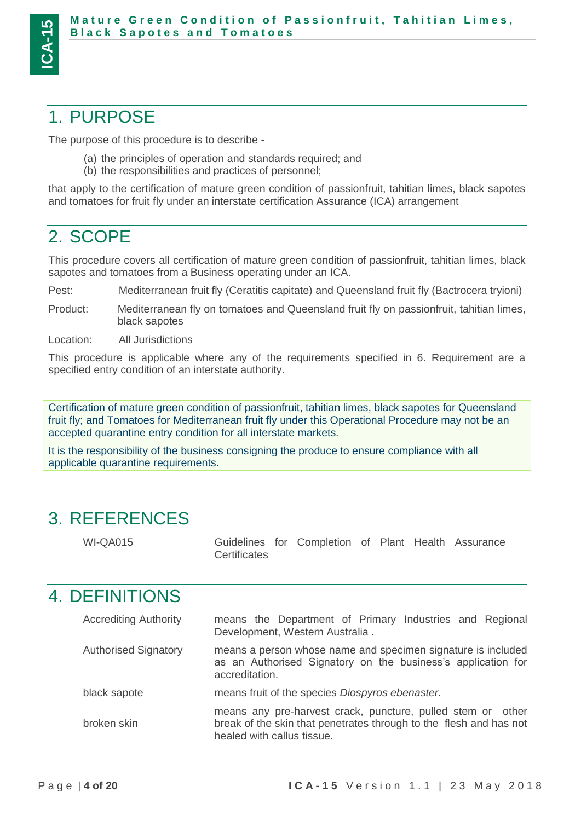# <span id="page-3-0"></span>1. PURPOSE

The purpose of this procedure is to describe -

- (a) the principles of operation and standards required; and
- (b) the responsibilities and practices of personnel;

that apply to the certification of mature green condition of passionfruit, tahitian limes, black sapotes and tomatoes for fruit fly under an interstate certification Assurance (ICA) arrangement

# <span id="page-3-1"></span>2. SCOPE

This procedure covers all certification of mature green condition of passionfruit, tahitian limes, black sapotes and tomatoes from a Business operating under an ICA.

Pest: Mediterranean fruit fly (Ceratitis capitate) and Queensland fruit fly (Bactrocera tryioni)

Product: Mediterranean fly on tomatoes and Queensland fruit fly on passionfruit, tahitian limes, black sapotes

Location: All Jurisdictions

This procedure is applicable where any of the requirements specified in 6. Requirement are a specified entry condition of an interstate authority.

Certification of mature green condition of passionfruit, tahitian limes, black sapotes for Queensland fruit fly; and Tomatoes for Mediterranean fruit fly under this Operational Procedure may not be an accepted quarantine entry condition for all interstate markets.

It is the responsibility of the business consigning the produce to ensure compliance with all applicable quarantine requirements.

# <span id="page-3-2"></span>3. REFERENCES

WI-QA015 Guidelines for Completion of Plant Health Assurance **Certificates** 

# <span id="page-3-3"></span>4. DEFINITIONS

| <b>Accrediting Authority</b> | means the Department of Primary Industries and Regional<br>Development, Western Australia.                                                                      |
|------------------------------|-----------------------------------------------------------------------------------------------------------------------------------------------------------------|
| <b>Authorised Signatory</b>  | means a person whose name and specimen signature is included<br>as an Authorised Signatory on the business's application for<br>accreditation.                  |
| black sapote                 | means fruit of the species Diospyros ebenaster.                                                                                                                 |
| broken skin                  | means any pre-harvest crack, puncture, pulled stem or other<br>break of the skin that penetrates through to the flesh and has not<br>healed with callus tissue. |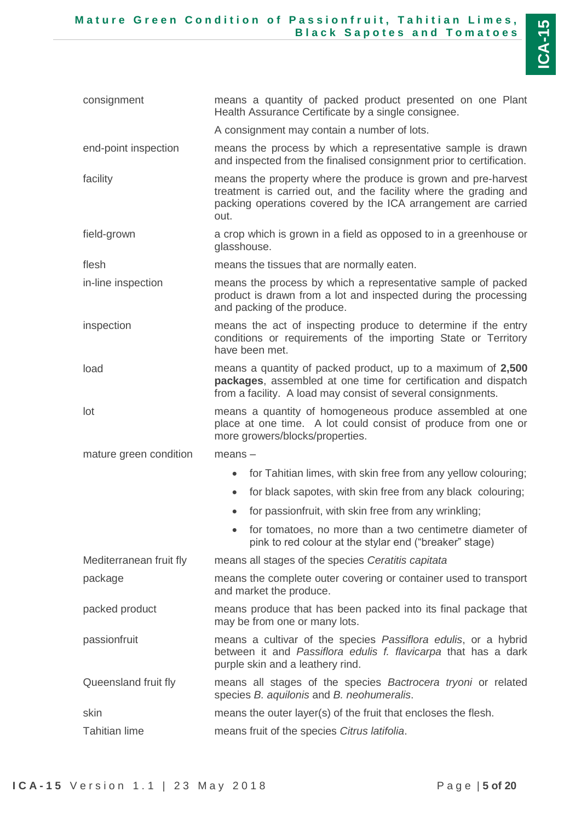| consignment             | means a quantity of packed product presented on one Plant<br>Health Assurance Certificate by a single consignee.                                                                                           |
|-------------------------|------------------------------------------------------------------------------------------------------------------------------------------------------------------------------------------------------------|
|                         | A consignment may contain a number of lots.                                                                                                                                                                |
| end-point inspection    | means the process by which a representative sample is drawn<br>and inspected from the finalised consignment prior to certification.                                                                        |
| facility                | means the property where the produce is grown and pre-harvest<br>treatment is carried out, and the facility where the grading and<br>packing operations covered by the ICA arrangement are carried<br>out. |
| field-grown             | a crop which is grown in a field as opposed to in a greenhouse or<br>glasshouse.                                                                                                                           |
| flesh                   | means the tissues that are normally eaten.                                                                                                                                                                 |
| in-line inspection      | means the process by which a representative sample of packed<br>product is drawn from a lot and inspected during the processing<br>and packing of the produce.                                             |
| inspection              | means the act of inspecting produce to determine if the entry<br>conditions or requirements of the importing State or Territory<br>have been met.                                                          |
| load                    | means a quantity of packed product, up to a maximum of 2,500<br>packages, assembled at one time for certification and dispatch<br>from a facility. A load may consist of several consignments.             |
| lot                     | means a quantity of homogeneous produce assembled at one<br>place at one time. A lot could consist of produce from one or<br>more growers/blocks/properties.                                               |
| mature green condition  | $means -$                                                                                                                                                                                                  |
|                         | for Tahitian limes, with skin free from any yellow colouring;<br>$\bullet$                                                                                                                                 |
|                         | for black sapotes, with skin free from any black colouring;<br>$\bullet$                                                                                                                                   |
|                         | for passionfruit, with skin free from any wrinkling;                                                                                                                                                       |
|                         | for tomatoes, no more than a two centimetre diameter of<br>pink to red colour at the stylar end ("breaker" stage)                                                                                          |
| Mediterranean fruit fly | means all stages of the species Ceratitis capitata                                                                                                                                                         |
| package                 | means the complete outer covering or container used to transport<br>and market the produce.                                                                                                                |
| packed product          | means produce that has been packed into its final package that<br>may be from one or many lots.                                                                                                            |
| passionfruit            | means a cultivar of the species Passiflora edulis, or a hybrid<br>between it and Passiflora edulis f. flavicarpa that has a dark<br>purple skin and a leathery rind.                                       |
| Queensland fruit fly    | means all stages of the species Bactrocera tryoni or related<br>species B. aquilonis and B. neohumeralis.                                                                                                  |
| skin                    | means the outer layer(s) of the fruit that encloses the flesh.                                                                                                                                             |
| <b>Tahitian lime</b>    | means fruit of the species Citrus latifolia.                                                                                                                                                               |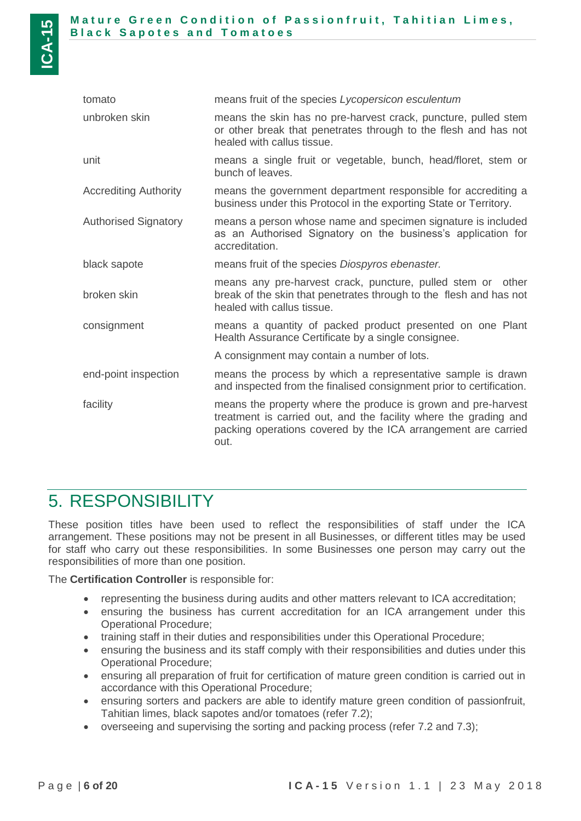| tomato                       | means fruit of the species Lycopersicon esculentum                                                                                                                                                         |
|------------------------------|------------------------------------------------------------------------------------------------------------------------------------------------------------------------------------------------------------|
| unbroken skin                | means the skin has no pre-harvest crack, puncture, pulled stem<br>or other break that penetrates through to the flesh and has not<br>healed with callus tissue.                                            |
| unit                         | means a single fruit or vegetable, bunch, head/floret, stem or<br>bunch of leaves.                                                                                                                         |
| <b>Accrediting Authority</b> | means the government department responsible for accrediting a<br>business under this Protocol in the exporting State or Territory.                                                                         |
| <b>Authorised Signatory</b>  | means a person whose name and specimen signature is included<br>as an Authorised Signatory on the business's application for<br>accreditation.                                                             |
| black sapote                 | means fruit of the species Diospyros ebenaster.                                                                                                                                                            |
| broken skin                  | means any pre-harvest crack, puncture, pulled stem or other<br>break of the skin that penetrates through to the flesh and has not<br>healed with callus tissue.                                            |
| consignment                  | means a quantity of packed product presented on one Plant<br>Health Assurance Certificate by a single consignee.                                                                                           |
|                              | A consignment may contain a number of lots.                                                                                                                                                                |
| end-point inspection         | means the process by which a representative sample is drawn<br>and inspected from the finalised consignment prior to certification.                                                                        |
| facility                     | means the property where the produce is grown and pre-harvest<br>treatment is carried out, and the facility where the grading and<br>packing operations covered by the ICA arrangement are carried<br>out. |

# <span id="page-5-0"></span>5. RESPONSIBILITY

These position titles have been used to reflect the responsibilities of staff under the ICA arrangement. These positions may not be present in all Businesses, or different titles may be used for staff who carry out these responsibilities. In some Businesses one person may carry out the responsibilities of more than one position.

The **Certification Controller** is responsible for:

- representing the business during audits and other matters relevant to ICA accreditation;
- ensuring the business has current accreditation for an ICA arrangement under this Operational Procedure;
- training staff in their duties and responsibilities under this Operational Procedure;
- ensuring the business and its staff comply with their responsibilities and duties under this Operational Procedure;
- ensuring all preparation of fruit for certification of mature green condition is carried out in accordance with this Operational Procedure;
- ensuring sorters and packers are able to identify mature green condition of passionfruit, Tahitian limes, black sapotes and/or tomatoes (refer [7.2\)](#page-9-0);
- overseeing and supervising the sorting and packing process (refer [7.2](#page-9-0) and [7.3\)](#page-9-2);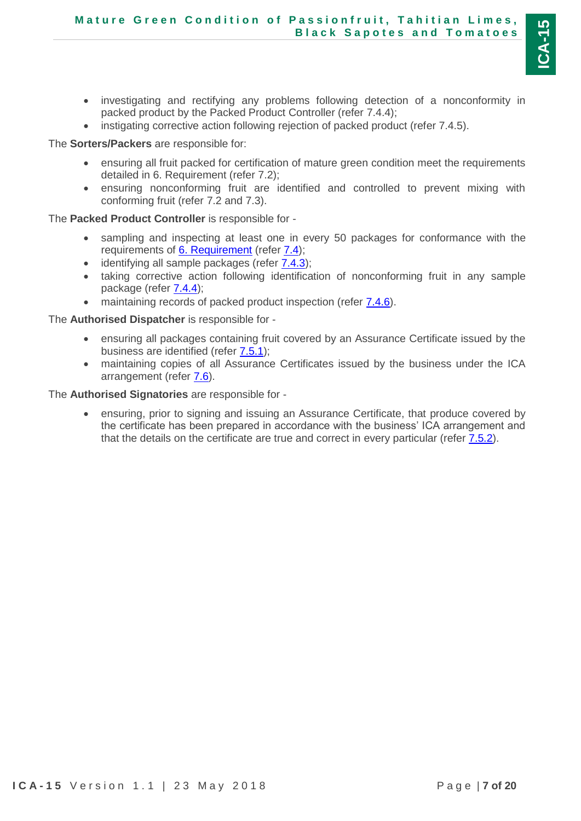- investigating and rectifying any problems following detection of a nonconformity in packed product by the Packed Product Controller (refer [7.4.4\)](#page-10-3);
- instigating corrective action following rejection of packed product (refer [7.4.5\)](#page-11-0).

The **Sorters/Packers** are responsible for:

- ensuring all fruit packed for certification of mature green condition meet the requirements detailed in 6. Requirement (refer [7.2\)](#page-9-0);
- ensuring nonconforming fruit are identified and controlled to prevent mixing with conforming fruit (refer [7.2](#page-9-0) and [7.3\)](#page-9-2).

The **Packed Product Controller** is responsible for -

- sampling and inspecting at least one in every 50 packages for conformance with the requirements of [6. Requirement](#page-6-0) (refer [7.4\)](#page-9-4);
- identifying all sample packages (refer [7.4.3\)](#page-10-2);
- taking corrective action following identification of nonconforming fruit in any sample package (refer  $7.4.4$ );
- maintaining records of packed product inspection (refer  $7.4.6$ ).

The **Authorised Dispatcher** is responsible for -

- ensuring all packages containing fruit covered by an Assurance Certificate issued by the business are identified (refer [7.5.1\)](#page-12-1);
- maintaining copies of all Assurance Certificates issued by the business under the ICA arrangement (refer [7.6\)](#page-12-3).

The **Authorised Signatories** are responsible for -

<span id="page-6-0"></span> ensuring, prior to signing and issuing an Assurance Certificate, that produce covered by the certificate has been prepared in accordance with the business' ICA arrangement and that the details on the certificate are true and correct in every particular (refer [7.5.2\)](#page-12-4).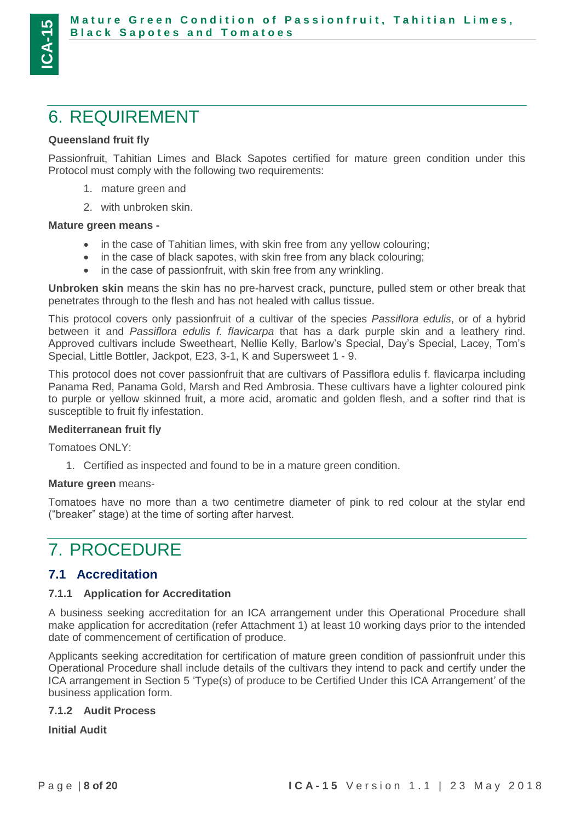# <span id="page-7-0"></span>6. REQUIREMENT

### **Queensland fruit fly**

Passionfruit, Tahitian Limes and Black Sapotes certified for mature green condition under this Protocol must comply with the following two requirements:

- 1. mature green and
- 2. with unbroken skin.

### **Mature green means -**

- in the case of Tahitian limes, with skin free from any yellow colouring;
- in the case of black sapotes, with skin free from any black colouring;
- in the case of passionfruit, with skin free from any wrinkling.

**Unbroken skin** means the skin has no pre-harvest crack, puncture, pulled stem or other break that penetrates through to the flesh and has not healed with callus tissue.

This protocol covers only passionfruit of a cultivar of the species *Passiflora edulis*, or of a hybrid between it and *Passiflora edulis f. flavicarpa* that has a dark purple skin and a leathery rind. Approved cultivars include Sweetheart, Nellie Kelly, Barlow's Special, Day's Special, Lacey, Tom's Special, Little Bottler, Jackpot, E23, 3-1, K and Supersweet 1 - 9.

This protocol does not cover passionfruit that are cultivars of Passiflora edulis f. flavicarpa including Panama Red, Panama Gold, Marsh and Red Ambrosia. These cultivars have a lighter coloured pink to purple or yellow skinned fruit, a more acid, aromatic and golden flesh, and a softer rind that is susceptible to fruit fly infestation.

#### **Mediterranean fruit fly**

Tomatoes ONLY:

1. Certified as inspected and found to be in a mature green condition.

#### **Mature green** means-

Tomatoes have no more than a two centimetre diameter of pink to red colour at the stylar end ("breaker" stage) at the time of sorting after harvest.

# <span id="page-7-1"></span>7. PROCEDURE

## <span id="page-7-2"></span>**7.1 Accreditation**

### <span id="page-7-3"></span>**7.1.1 Application for Accreditation**

A business seeking accreditation for an ICA arrangement under this Operational Procedure shall make application for accreditation (refer Attachment 1) at least 10 working days prior to the intended date of commencement of certification of produce.

Applicants seeking accreditation for certification of mature green condition of passionfruit under this Operational Procedure shall include details of the cultivars they intend to pack and certify under the ICA arrangement in Section 5 'Type(s) of produce to be Certified Under this ICA Arrangement' of the business application form.

### <span id="page-7-4"></span>**7.1.2 Audit Process**

**Initial Audit**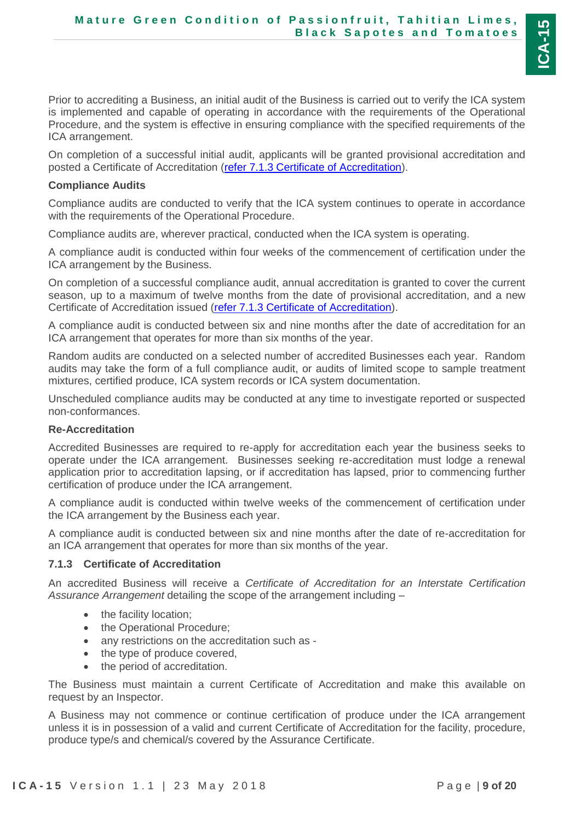Prior to accrediting a Business, an initial audit of the Business is carried out to verify the ICA system is implemented and capable of operating in accordance with the requirements of the Operational Procedure, and the system is effective in ensuring compliance with the specified requirements of the ICA arrangement.

On completion of a successful initial audit, applicants will be granted provisional accreditation and posted a Certificate of Accreditation [\(refer 7.1.3 Certificate of Accreditation\)](#page-8-0).

#### **Compliance Audits**

Compliance audits are conducted to verify that the ICA system continues to operate in accordance with the requirements of the Operational Procedure.

Compliance audits are, wherever practical, conducted when the ICA system is operating.

A compliance audit is conducted within four weeks of the commencement of certification under the ICA arrangement by the Business.

On completion of a successful compliance audit, annual accreditation is granted to cover the current season, up to a maximum of twelve months from the date of provisional accreditation, and a new Certificate of Accreditation issued [\(refer 7.1.3 Certificate of Accreditation\)](#page-8-0).

A compliance audit is conducted between six and nine months after the date of accreditation for an ICA arrangement that operates for more than six months of the year.

Random audits are conducted on a selected number of accredited Businesses each year. Random audits may take the form of a full compliance audit, or audits of limited scope to sample treatment mixtures, certified produce, ICA system records or ICA system documentation.

Unscheduled compliance audits may be conducted at any time to investigate reported or suspected non-conformances.

#### **Re-Accreditation**

Accredited Businesses are required to re-apply for accreditation each year the business seeks to operate under the ICA arrangement. Businesses seeking re-accreditation must lodge a renewal application prior to accreditation lapsing, or if accreditation has lapsed, prior to commencing further certification of produce under the ICA arrangement.

A compliance audit is conducted within twelve weeks of the commencement of certification under the ICA arrangement by the Business each year.

A compliance audit is conducted between six and nine months after the date of re-accreditation for an ICA arrangement that operates for more than six months of the year.

#### <span id="page-8-0"></span>**7.1.3 Certificate of Accreditation**

An accredited Business will receive a *Certificate of Accreditation for an Interstate Certification Assurance Arrangement* detailing the scope of the arrangement including –

- the facility location;
- the Operational Procedure;
- any restrictions on the accreditation such as -
- the type of produce covered,
- the period of accreditation.

The Business must maintain a current Certificate of Accreditation and make this available on request by an Inspector.

A Business may not commence or continue certification of produce under the ICA arrangement unless it is in possession of a valid and current Certificate of Accreditation for the facility, procedure, produce type/s and chemical/s covered by the Assurance Certificate.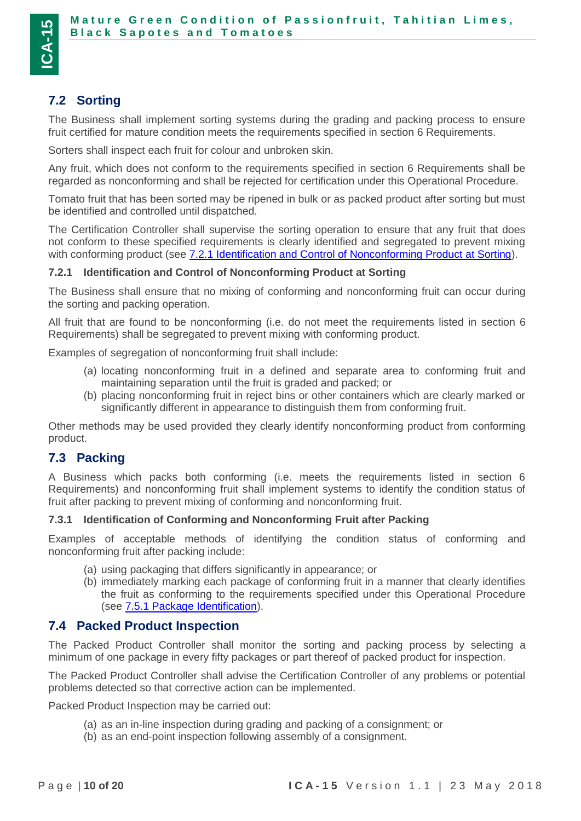## <span id="page-9-0"></span>**7.2 Sorting**

The Business shall implement sorting systems during the grading and packing process to ensure fruit certified for mature condition meets the requirements specified in section 6 Requirements.

Sorters shall inspect each fruit for colour and unbroken skin.

Any fruit, which does not conform to the requirements specified in section 6 Requirements shall be regarded as nonconforming and shall be rejected for certification under this Operational Procedure.

Tomato fruit that has been sorted may be ripened in bulk or as packed product after sorting but must be identified and controlled until dispatched.

The Certification Controller shall supervise the sorting operation to ensure that any fruit that does not conform to these specified requirements is clearly identified and segregated to prevent mixing with conforming product (see [7.2.1 Identification and Control of Nonconforming Product at Sorting\)](#page-9-1).

### <span id="page-9-1"></span>**7.2.1 Identification and Control of Nonconforming Product at Sorting**

The Business shall ensure that no mixing of conforming and nonconforming fruit can occur during the sorting and packing operation.

All fruit that are found to be nonconforming (i.e. do not meet the requirements listed in section 6 Requirements) shall be segregated to prevent mixing with conforming product.

Examples of segregation of nonconforming fruit shall include:

- (a) locating nonconforming fruit in a defined and separate area to conforming fruit and maintaining separation until the fruit is graded and packed; or
- (b) placing nonconforming fruit in reject bins or other containers which are clearly marked or significantly different in appearance to distinguish them from conforming fruit.

Other methods may be used provided they clearly identify nonconforming product from conforming product.

## <span id="page-9-2"></span>**7.3 Packing**

A Business which packs both conforming (i.e. meets the requirements listed in section 6 Requirements) and nonconforming fruit shall implement systems to identify the condition status of fruit after packing to prevent mixing of conforming and nonconforming fruit.

#### <span id="page-9-3"></span>**7.3.1 Identification of Conforming and Nonconforming Fruit after Packing**

Examples of acceptable methods of identifying the condition status of conforming and nonconforming fruit after packing include:

- (a) using packaging that differs significantly in appearance; or
- (b) immediately marking each package of conforming fruit in a manner that clearly identifies the fruit as conforming to the requirements specified under this Operational Procedure (see [7.5.1 Package Identification\)](#page-12-1).

### <span id="page-9-4"></span>**7.4 Packed Product Inspection**

The Packed Product Controller shall monitor the sorting and packing process by selecting a minimum of one package in every fifty packages or part thereof of packed product for inspection.

The Packed Product Controller shall advise the Certification Controller of any problems or potential problems detected so that corrective action can be implemented.

Packed Product Inspection may be carried out:

- (a) as an in-line inspection during grading and packing of a consignment; or
- (b) as an end-point inspection following assembly of a consignment.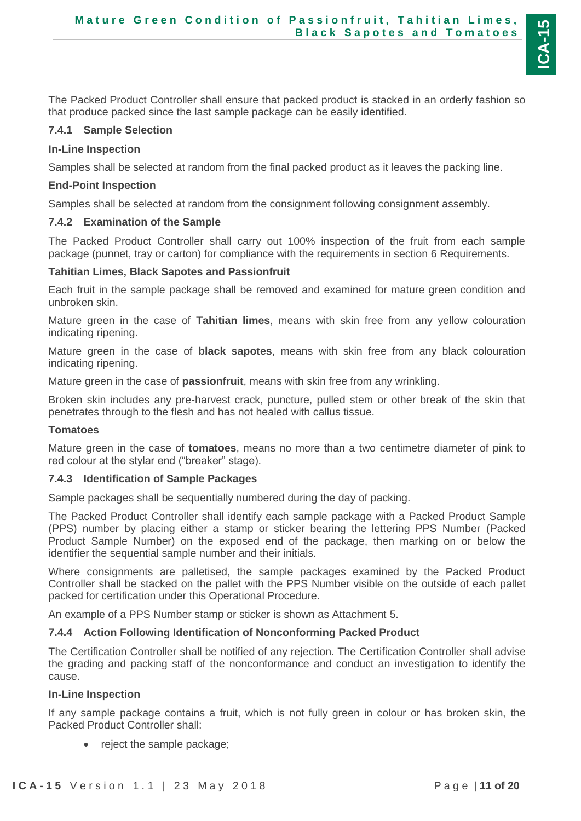The Packed Product Controller shall ensure that packed product is stacked in an orderly fashion so that produce packed since the last sample package can be easily identified.

#### <span id="page-10-0"></span>**7.4.1 Sample Selection**

#### **In-Line Inspection**

Samples shall be selected at random from the final packed product as it leaves the packing line.

#### **End-Point Inspection**

Samples shall be selected at random from the consignment following consignment assembly.

#### <span id="page-10-1"></span>**7.4.2 Examination of the Sample**

The Packed Product Controller shall carry out 100% inspection of the fruit from each sample package (punnet, tray or carton) for compliance with the requirements in section 6 Requirements.

#### **Tahitian Limes, Black Sapotes and Passionfruit**

Each fruit in the sample package shall be removed and examined for mature green condition and unbroken skin.

Mature green in the case of **Tahitian limes**, means with skin free from any yellow colouration indicating ripening.

Mature green in the case of **black sapotes**, means with skin free from any black colouration indicating ripening.

Mature green in the case of **passionfruit**, means with skin free from any wrinkling.

Broken skin includes any pre-harvest crack, puncture, pulled stem or other break of the skin that penetrates through to the flesh and has not healed with callus tissue.

#### **Tomatoes**

Mature green in the case of **tomatoes**, means no more than a two centimetre diameter of pink to red colour at the stylar end ("breaker" stage).

#### <span id="page-10-2"></span>**7.4.3 Identification of Sample Packages**

Sample packages shall be sequentially numbered during the day of packing.

The Packed Product Controller shall identify each sample package with a Packed Product Sample (PPS) number by placing either a stamp or sticker bearing the lettering PPS Number (Packed Product Sample Number) on the exposed end of the package, then marking on or below the identifier the sequential sample number and their initials.

Where consignments are palletised, the sample packages examined by the Packed Product Controller shall be stacked on the pallet with the PPS Number visible on the outside of each pallet packed for certification under this Operational Procedure.

An example of a PPS Number stamp or sticker is shown as Attachment 5.

#### <span id="page-10-3"></span>**7.4.4 Action Following Identification of Nonconforming Packed Product**

The Certification Controller shall be notified of any rejection. The Certification Controller shall advise the grading and packing staff of the nonconformance and conduct an investigation to identify the cause.

#### **In-Line Inspection**

If any sample package contains a fruit, which is not fully green in colour or has broken skin, the Packed Product Controller shall:

reject the sample package;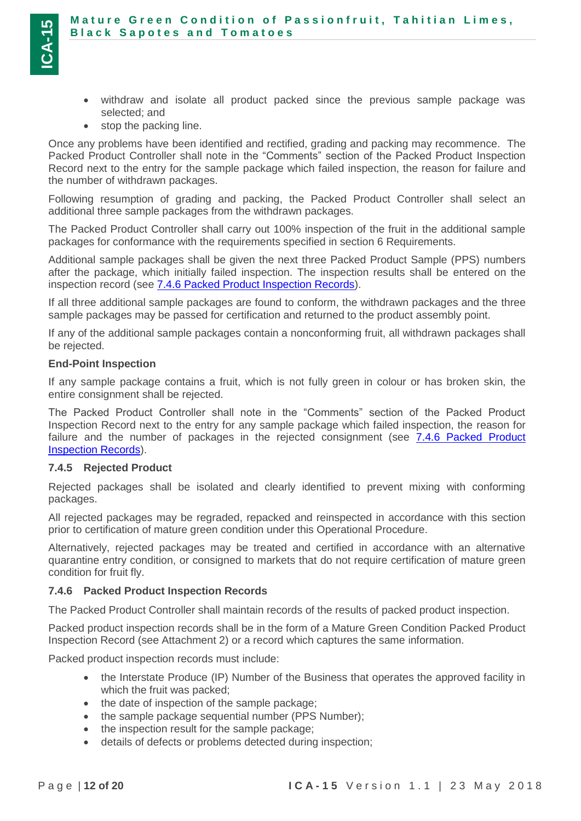- withdraw and isolate all product packed since the previous sample package was selected; and
- stop the packing line.

Once any problems have been identified and rectified, grading and packing may recommence. The Packed Product Controller shall note in the "Comments" section of the Packed Product Inspection Record next to the entry for the sample package which failed inspection, the reason for failure and the number of withdrawn packages.

Following resumption of grading and packing, the Packed Product Controller shall select an additional three sample packages from the withdrawn packages.

The Packed Product Controller shall carry out 100% inspection of the fruit in the additional sample packages for conformance with the requirements specified in section 6 Requirements.

Additional sample packages shall be given the next three Packed Product Sample (PPS) numbers after the package, which initially failed inspection. The inspection results shall be entered on the inspection record (see [7.4.6 Packed Product Inspection Records\)](#page-11-1).

If all three additional sample packages are found to conform, the withdrawn packages and the three sample packages may be passed for certification and returned to the product assembly point.

If any of the additional sample packages contain a nonconforming fruit, all withdrawn packages shall be rejected.

### **End-Point Inspection**

If any sample package contains a fruit, which is not fully green in colour or has broken skin, the entire consignment shall be rejected.

The Packed Product Controller shall note in the "Comments" section of the Packed Product Inspection Record next to the entry for any sample package which failed inspection, the reason for failure and the number of packages in the rejected consignment (see 7.4.6 Packed Product [Inspection Records\)](#page-11-1).

#### <span id="page-11-0"></span>**7.4.5 Rejected Product**

Rejected packages shall be isolated and clearly identified to prevent mixing with conforming packages.

All rejected packages may be regraded, repacked and reinspected in accordance with this section prior to certification of mature green condition under this Operational Procedure.

Alternatively, rejected packages may be treated and certified in accordance with an alternative quarantine entry condition, or consigned to markets that do not require certification of mature green condition for fruit fly.

### <span id="page-11-1"></span>**7.4.6 Packed Product Inspection Records**

The Packed Product Controller shall maintain records of the results of packed product inspection.

Packed product inspection records shall be in the form of a Mature Green Condition Packed Product Inspection Record (see Attachment 2) or a record which captures the same information.

Packed product inspection records must include:

- the Interstate Produce (IP) Number of the Business that operates the approved facility in which the fruit was packed;
- the date of inspection of the sample package;
- the sample package sequential number (PPS Number);
- the inspection result for the sample package;
- details of defects or problems detected during inspection;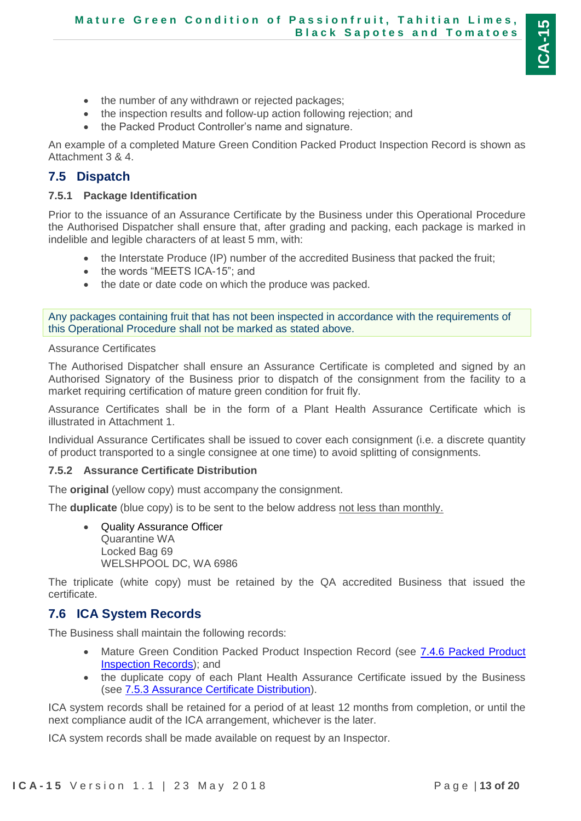- the number of any withdrawn or rejected packages;
- the inspection results and follow-up action following rejection; and
- the Packed Product Controller's name and signature.

An example of a completed Mature Green Condition Packed Product Inspection Record is shown as Attachment 3 & 4.

# <span id="page-12-0"></span>**7.5 Dispatch**

## <span id="page-12-1"></span>**7.5.1 Package Identification**

Prior to the issuance of an Assurance Certificate by the Business under this Operational Procedure the Authorised Dispatcher shall ensure that, after grading and packing, each package is marked in indelible and legible characters of at least 5 mm, with:

- the Interstate Produce (IP) number of the accredited Business that packed the fruit;
- the words "MEETS ICA-15"; and
- the date or date code on which the produce was packed.

Any packages containing fruit that has not been inspected in accordance with the requirements of this Operational Procedure shall not be marked as stated above.

<span id="page-12-4"></span>Assurance Certificates

The Authorised Dispatcher shall ensure an Assurance Certificate is completed and signed by an Authorised Signatory of the Business prior to dispatch of the consignment from the facility to a market requiring certification of mature green condition for fruit fly.

Assurance Certificates shall be in the form of a Plant Health Assurance Certificate which is illustrated in Attachment 1.

Individual Assurance Certificates shall be issued to cover each consignment (i.e. a discrete quantity of product transported to a single consignee at one time) to avoid splitting of consignments.

## <span id="page-12-2"></span>**7.5.2 Assurance Certificate Distribution**

The **original** (yellow copy) must accompany the consignment.

The **duplicate** (blue copy) is to be sent to the below address not less than monthly.

 Quality Assurance Officer Quarantine WA Locked Bag 69 WELSHPOOL DC, WA 6986

The triplicate (white copy) must be retained by the QA accredited Business that issued the certificate.

## <span id="page-12-3"></span>**7.6 ICA System Records**

The Business shall maintain the following records:

- Mature Green Condition Packed Product Inspection Record (see [7.4.6 Packed Product](#page-11-1)  [Inspection Records\)](#page-11-1); and
- the duplicate copy of each Plant Health Assurance Certificate issued by the Business (see [7.5.3 Assurance Certificate Distribution\)](#page-12-2).

ICA system records shall be retained for a period of at least 12 months from completion, or until the next compliance audit of the ICA arrangement, whichever is the later.

ICA system records shall be made available on request by an Inspector.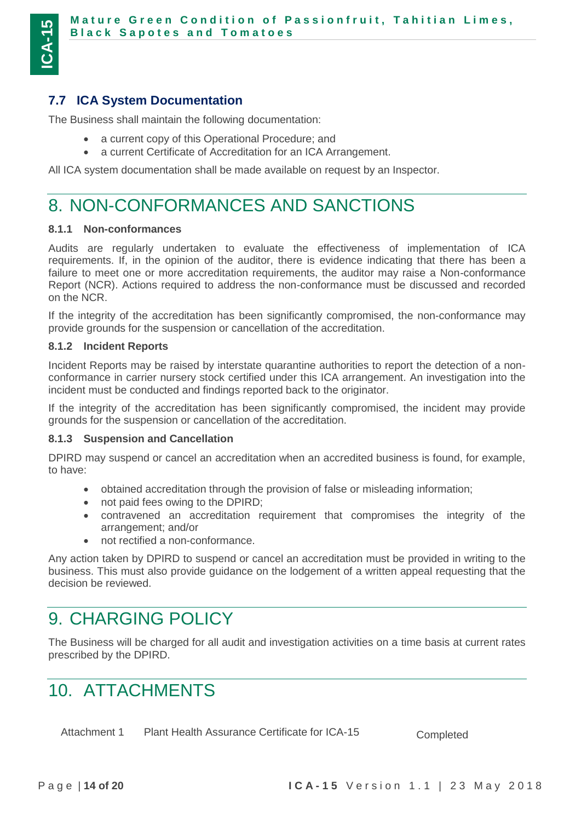## <span id="page-13-0"></span>**7.7 ICA System Documentation**

The Business shall maintain the following documentation:

- a current copy of this Operational Procedure; and
- a current Certificate of Accreditation for an ICA Arrangement.

All ICA system documentation shall be made available on request by an Inspector.

# <span id="page-13-1"></span>8. NON-CONFORMANCES AND SANCTIONS

#### <span id="page-13-2"></span>**8.1.1 Non-conformances**

Audits are regularly undertaken to evaluate the effectiveness of implementation of ICA requirements. If, in the opinion of the auditor, there is evidence indicating that there has been a failure to meet one or more accreditation requirements, the auditor may raise a Non-conformance Report (NCR). Actions required to address the non-conformance must be discussed and recorded on the NCR.

If the integrity of the accreditation has been significantly compromised, the non-conformance may provide grounds for the suspension or cancellation of the accreditation.

#### <span id="page-13-3"></span>**8.1.2 Incident Reports**

Incident Reports may be raised by interstate quarantine authorities to report the detection of a nonconformance in carrier nursery stock certified under this ICA arrangement. An investigation into the incident must be conducted and findings reported back to the originator.

If the integrity of the accreditation has been significantly compromised, the incident may provide grounds for the suspension or cancellation of the accreditation.

#### <span id="page-13-4"></span>**8.1.3 Suspension and Cancellation**

DPIRD may suspend or cancel an accreditation when an accredited business is found, for example, to have:

- obtained accreditation through the provision of false or misleading information;
- not paid fees owing to the DPIRD;
- contravened an accreditation requirement that compromises the integrity of the arrangement; and/or
- not rectified a non-conformance.

Any action taken by DPIRD to suspend or cancel an accreditation must be provided in writing to the business. This must also provide guidance on the lodgement of a written appeal requesting that the decision be reviewed.

# <span id="page-13-5"></span>9. CHARGING POLICY

The Business will be charged for all audit and investigation activities on a time basis at current rates prescribed by the DPIRD.

# <span id="page-13-6"></span>10. ATTACHMENTS

Attachment 1 Plant Health Assurance Certificate for ICA-15 Completed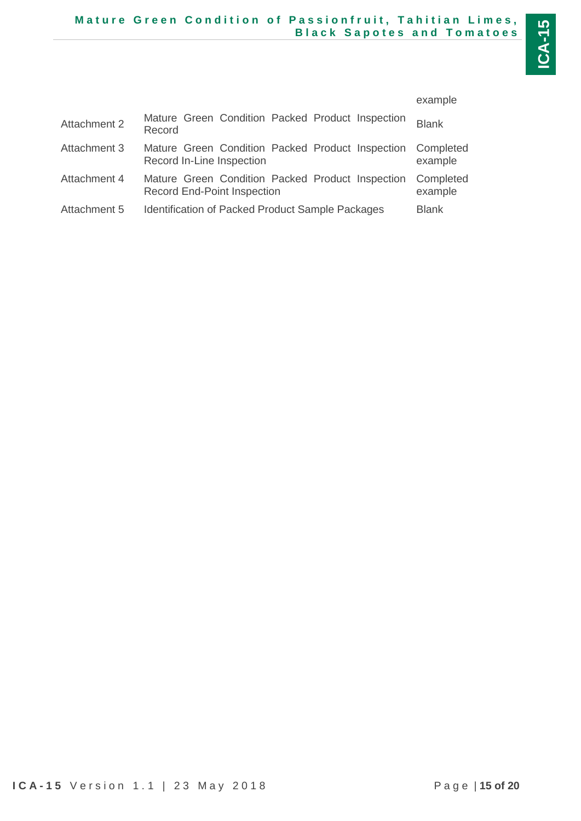|                     |                                                                                        | example              |
|---------------------|----------------------------------------------------------------------------------------|----------------------|
| <b>Attachment 2</b> | Mature Green Condition Packed Product Inspection<br>Record                             | <b>Blank</b>         |
| Attachment 3        | Mature Green Condition Packed Product Inspection<br>Record In-Line Inspection          | Completed<br>example |
| Attachment 4        | Mature Green Condition Packed Product Inspection<br><b>Record End-Point Inspection</b> | Completed<br>example |
| Attachment 5        | <b>Identification of Packed Product Sample Packages</b>                                | <b>Blank</b>         |
|                     |                                                                                        |                      |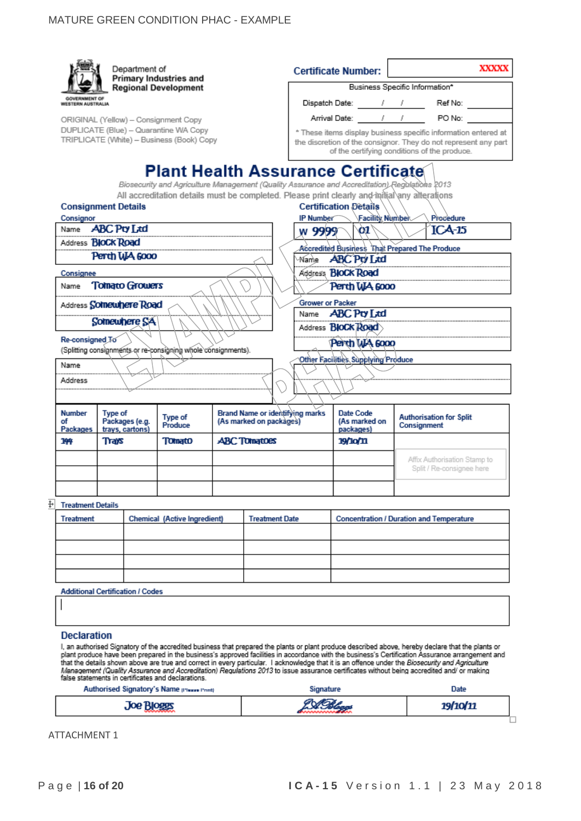|    |                                           | Department of                                                                      | Primary Industries and       |                         |                                        | <b>Certificate Number:</b>                                                                                                                 |             | <b>XXXXX</b>                                                                                                                                                                                                                                                                                                                                                                                                                                                                                                                                                                                            |
|----|-------------------------------------------|------------------------------------------------------------------------------------|------------------------------|-------------------------|----------------------------------------|--------------------------------------------------------------------------------------------------------------------------------------------|-------------|---------------------------------------------------------------------------------------------------------------------------------------------------------------------------------------------------------------------------------------------------------------------------------------------------------------------------------------------------------------------------------------------------------------------------------------------------------------------------------------------------------------------------------------------------------------------------------------------------------|
|    |                                           |                                                                                    | <b>Regional Development</b>  |                         |                                        | Business Specific Information*                                                                                                             |             |                                                                                                                                                                                                                                                                                                                                                                                                                                                                                                                                                                                                         |
|    | <b>GOVERNMENT OF</b><br>WESTERN AUSTRALIA |                                                                                    |                              |                         |                                        | Dispatch Date: ______/ / / _____ Ref No: __                                                                                                |             |                                                                                                                                                                                                                                                                                                                                                                                                                                                                                                                                                                                                         |
|    |                                           | ORIGINAL (Yellow) - Consignment Copy                                               |                              |                         |                                        |                                                                                                                                            |             |                                                                                                                                                                                                                                                                                                                                                                                                                                                                                                                                                                                                         |
|    |                                           | DUPLICATE (Blue) - Quarantine WA Copy<br>TRIPLICATE (White) - Business (Book) Copy |                              |                         |                                        | of the certifying conditions of the produce.                                                                                               |             | * These items display business specific information entered at<br>the discretion of the consignor. They do not represent any part                                                                                                                                                                                                                                                                                                                                                                                                                                                                       |
|    |                                           |                                                                                    |                              |                         |                                        | <b>Plant Health Assurance Certificate</b><br>Biosecurity and Agriculture Management (Quality Assurance and Accreditation) Regulations 2013 |             |                                                                                                                                                                                                                                                                                                                                                                                                                                                                                                                                                                                                         |
|    |                                           |                                                                                    |                              |                         |                                        | All accreditation details must be completed. Please print clearly and initial any alterations                                              |             |                                                                                                                                                                                                                                                                                                                                                                                                                                                                                                                                                                                                         |
|    |                                           | <b>Consignment Details</b>                                                         |                              |                         |                                        | <b>Certification Details</b>                                                                                                               |             |                                                                                                                                                                                                                                                                                                                                                                                                                                                                                                                                                                                                         |
|    | Consignor                                 | Name <b>ABC Pty Ltd</b>                                                            |                              |                         | <b>IP Number</b>                       | Facility Number                                                                                                                            |             | Procedure                                                                                                                                                                                                                                                                                                                                                                                                                                                                                                                                                                                               |
|    |                                           |                                                                                    |                              |                         | w 9999 <sup>-</sup>                    | $\infty$                                                                                                                                   |             | $ICA-15$                                                                                                                                                                                                                                                                                                                                                                                                                                                                                                                                                                                                |
|    |                                           | Address <b>BIOCK Road</b>                                                          |                              |                         |                                        | Accredited Business Mat Prepared The Produce                                                                                               |             |                                                                                                                                                                                                                                                                                                                                                                                                                                                                                                                                                                                                         |
|    |                                           | Perth WA 6000                                                                      |                              |                         |                                        | Name <b>ABC Pty Ltd</b>                                                                                                                    |             |                                                                                                                                                                                                                                                                                                                                                                                                                                                                                                                                                                                                         |
|    | Consignee                                 |                                                                                    |                              |                         |                                        | Address <b>BloCk Road</b>                                                                                                                  |             |                                                                                                                                                                                                                                                                                                                                                                                                                                                                                                                                                                                                         |
|    |                                           | Name Tomato Growers                                                                |                              |                         |                                        | Perth WA 6000                                                                                                                              |             |                                                                                                                                                                                                                                                                                                                                                                                                                                                                                                                                                                                                         |
|    |                                           | Address Somewhere Road                                                             |                              |                         | <b>Grower or Packer</b>                |                                                                                                                                            |             |                                                                                                                                                                                                                                                                                                                                                                                                                                                                                                                                                                                                         |
|    |                                           |                                                                                    |                              |                         |                                        | Name <b>ABC Pty Ltd</b>                                                                                                                    |             |                                                                                                                                                                                                                                                                                                                                                                                                                                                                                                                                                                                                         |
|    |                                           | Somewhere SA                                                                       |                              |                         |                                        | Address <b>BloCk Road</b>                                                                                                                  |             |                                                                                                                                                                                                                                                                                                                                                                                                                                                                                                                                                                                                         |
|    | Re-consigned To                           |                                                                                    |                              |                         |                                        | Penth WA 6000                                                                                                                              |             |                                                                                                                                                                                                                                                                                                                                                                                                                                                                                                                                                                                                         |
|    |                                           | (Splitting consignments or re-consigning whole consignments).                      |                              |                         |                                        |                                                                                                                                            |             |                                                                                                                                                                                                                                                                                                                                                                                                                                                                                                                                                                                                         |
|    | Name                                      |                                                                                    |                              |                         |                                        | Other Facilities Supplying Produce                                                                                                         |             |                                                                                                                                                                                                                                                                                                                                                                                                                                                                                                                                                                                                         |
|    | Address                                   |                                                                                    |                              |                         |                                        |                                                                                                                                            |             |                                                                                                                                                                                                                                                                                                                                                                                                                                                                                                                                                                                                         |
|    |                                           |                                                                                    |                              |                         |                                        |                                                                                                                                            |             |                                                                                                                                                                                                                                                                                                                                                                                                                                                                                                                                                                                                         |
|    |                                           |                                                                                    |                              |                         |                                        |                                                                                                                                            |             |                                                                                                                                                                                                                                                                                                                                                                                                                                                                                                                                                                                                         |
|    | <b>Number</b><br>οf<br>Packages           | Type of<br>Packages (e.g.<br>trays, cartons)                                       | Type of<br>Produce           | (As marked on packages) | <b>Brand Name or identifying marks</b> | Date Code<br>(As marked on<br>packages)                                                                                                    | Consignment | <b>Authorisation for Split</b>                                                                                                                                                                                                                                                                                                                                                                                                                                                                                                                                                                          |
|    | 144                                       | Trays                                                                              | <b>Tomato</b>                | <b>ABC Tomatoes</b>     |                                        | <b>19/10/11</b>                                                                                                                            |             |                                                                                                                                                                                                                                                                                                                                                                                                                                                                                                                                                                                                         |
|    |                                           |                                                                                    |                              |                         |                                        |                                                                                                                                            |             |                                                                                                                                                                                                                                                                                                                                                                                                                                                                                                                                                                                                         |
|    |                                           |                                                                                    |                              |                         |                                        |                                                                                                                                            |             | Affix Authorisation Stamp to<br>Split / Re-consignee here                                                                                                                                                                                                                                                                                                                                                                                                                                                                                                                                               |
|    |                                           |                                                                                    |                              |                         |                                        |                                                                                                                                            |             |                                                                                                                                                                                                                                                                                                                                                                                                                                                                                                                                                                                                         |
|    |                                           |                                                                                    |                              |                         |                                        |                                                                                                                                            |             |                                                                                                                                                                                                                                                                                                                                                                                                                                                                                                                                                                                                         |
| ÷. | <b>Treatment Details</b>                  |                                                                                    |                              |                         |                                        |                                                                                                                                            |             |                                                                                                                                                                                                                                                                                                                                                                                                                                                                                                                                                                                                         |
|    | <b>Treatment</b>                          |                                                                                    | Chemical (Active Ingredient) |                         | <b>Treatment Date</b>                  | <b>Concentration / Duration and Temperature</b>                                                                                            |             |                                                                                                                                                                                                                                                                                                                                                                                                                                                                                                                                                                                                         |
|    |                                           |                                                                                    |                              |                         |                                        |                                                                                                                                            |             |                                                                                                                                                                                                                                                                                                                                                                                                                                                                                                                                                                                                         |
|    |                                           |                                                                                    |                              |                         |                                        |                                                                                                                                            |             |                                                                                                                                                                                                                                                                                                                                                                                                                                                                                                                                                                                                         |
|    |                                           |                                                                                    |                              |                         |                                        |                                                                                                                                            |             |                                                                                                                                                                                                                                                                                                                                                                                                                                                                                                                                                                                                         |
|    |                                           |                                                                                    |                              |                         |                                        |                                                                                                                                            |             |                                                                                                                                                                                                                                                                                                                                                                                                                                                                                                                                                                                                         |
|    |                                           |                                                                                    |                              |                         |                                        |                                                                                                                                            |             |                                                                                                                                                                                                                                                                                                                                                                                                                                                                                                                                                                                                         |
|    |                                           | <b>Additional Certification / Codes</b>                                            |                              |                         |                                        |                                                                                                                                            |             |                                                                                                                                                                                                                                                                                                                                                                                                                                                                                                                                                                                                         |
|    |                                           |                                                                                    |                              |                         |                                        |                                                                                                                                            |             |                                                                                                                                                                                                                                                                                                                                                                                                                                                                                                                                                                                                         |
|    |                                           |                                                                                    |                              |                         |                                        |                                                                                                                                            |             |                                                                                                                                                                                                                                                                                                                                                                                                                                                                                                                                                                                                         |
|    | <b>Declaration</b>                        |                                                                                    |                              |                         |                                        |                                                                                                                                            |             |                                                                                                                                                                                                                                                                                                                                                                                                                                                                                                                                                                                                         |
|    |                                           | false statements in certificates and declarations.                                 |                              |                         |                                        |                                                                                                                                            |             | I, an authorised Signatory of the accredited business that prepared the plants or plant produce described above, hereby declare that the plants or<br>plant produce have been prepared in the business's approved facilities in accordance with the business's Certification Assurance arrangement and<br>that the details shown above are true and correct in every particular. I acknowledge that it is an offence under the Biosecurity and Agriculture<br>Management (Quality Assurance and Accreditation) Regulations 2013 to issue assurance certificates without being accredited and/ or making |
|    |                                           | Authorised Signatory's Name presse Promp                                           |                              |                         | Signature                              |                                                                                                                                            |             | Date                                                                                                                                                                                                                                                                                                                                                                                                                                                                                                                                                                                                    |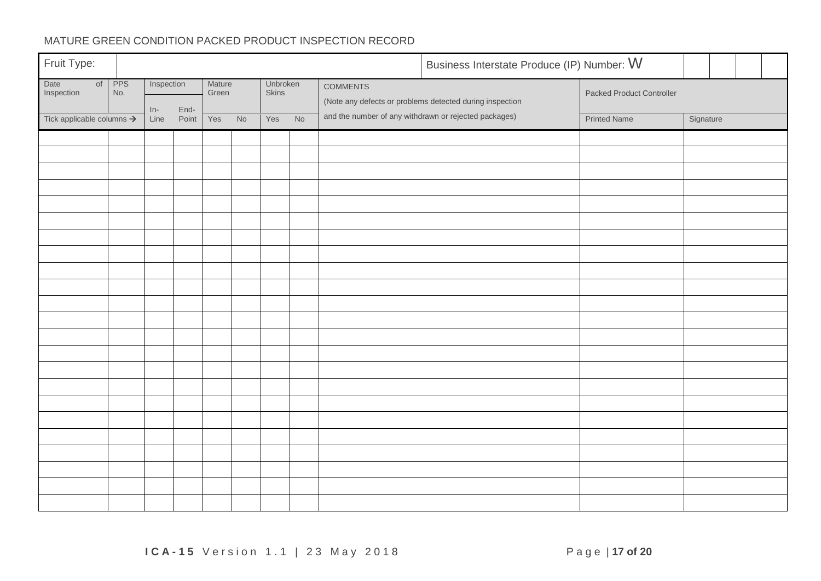## MATURE GREEN CONDITION PACKED PRODUCT INSPECTION RECORD

| Fruit Type:                           |                   |               |               |                 |    |                   |    |                                                       | Business Interstate Produce (IP) Number: W               |                           |           |  |  |  |  |  |
|---------------------------------------|-------------------|---------------|---------------|-----------------|----|-------------------|----|-------------------------------------------------------|----------------------------------------------------------|---------------------------|-----------|--|--|--|--|--|
| Date<br>of<br>Inspection              | <b>PPS</b><br>No. | Inspection    |               | Mature<br>Green |    | Unbroken<br>Skins |    | <b>COMMENTS</b>                                       | (Note any defects or problems detected during inspection | Packed Product Controller |           |  |  |  |  |  |
| Tick applicable columns $\rightarrow$ |                   | $In-$<br>Line | End-<br>Point | Yes             | No | Yes               | No | and the number of any withdrawn or rejected packages) |                                                          | <b>Printed Name</b>       | Signature |  |  |  |  |  |
|                                       |                   |               |               |                 |    |                   |    |                                                       |                                                          |                           |           |  |  |  |  |  |
|                                       |                   |               |               |                 |    |                   |    |                                                       |                                                          |                           |           |  |  |  |  |  |
|                                       |                   |               |               |                 |    |                   |    |                                                       |                                                          |                           |           |  |  |  |  |  |
|                                       |                   |               |               |                 |    |                   |    |                                                       |                                                          |                           |           |  |  |  |  |  |
|                                       |                   |               |               |                 |    |                   |    |                                                       |                                                          |                           |           |  |  |  |  |  |
|                                       |                   |               |               |                 |    |                   |    |                                                       |                                                          |                           |           |  |  |  |  |  |
|                                       |                   |               |               |                 |    |                   |    |                                                       |                                                          |                           |           |  |  |  |  |  |
|                                       |                   |               |               |                 |    |                   |    |                                                       |                                                          |                           |           |  |  |  |  |  |
|                                       |                   |               |               |                 |    |                   |    |                                                       |                                                          |                           |           |  |  |  |  |  |
|                                       |                   |               |               |                 |    |                   |    |                                                       |                                                          |                           |           |  |  |  |  |  |
|                                       |                   |               |               |                 |    |                   |    |                                                       |                                                          |                           |           |  |  |  |  |  |
|                                       |                   |               |               |                 |    |                   |    |                                                       |                                                          |                           |           |  |  |  |  |  |
|                                       |                   |               |               |                 |    |                   |    |                                                       |                                                          |                           |           |  |  |  |  |  |
|                                       |                   |               |               |                 |    |                   |    |                                                       |                                                          |                           |           |  |  |  |  |  |
|                                       |                   |               |               |                 |    |                   |    |                                                       |                                                          |                           |           |  |  |  |  |  |
|                                       |                   |               |               |                 |    |                   |    |                                                       |                                                          |                           |           |  |  |  |  |  |
|                                       |                   |               |               |                 |    |                   |    |                                                       |                                                          |                           |           |  |  |  |  |  |
|                                       |                   |               |               |                 |    |                   |    |                                                       |                                                          |                           |           |  |  |  |  |  |
|                                       |                   |               |               |                 |    |                   |    |                                                       |                                                          |                           |           |  |  |  |  |  |
|                                       |                   |               |               |                 |    |                   |    |                                                       |                                                          |                           |           |  |  |  |  |  |
|                                       |                   |               |               |                 |    |                   |    |                                                       |                                                          |                           |           |  |  |  |  |  |
|                                       |                   |               |               |                 |    |                   |    |                                                       |                                                          |                           |           |  |  |  |  |  |
|                                       |                   |               |               |                 |    |                   |    |                                                       |                                                          |                           |           |  |  |  |  |  |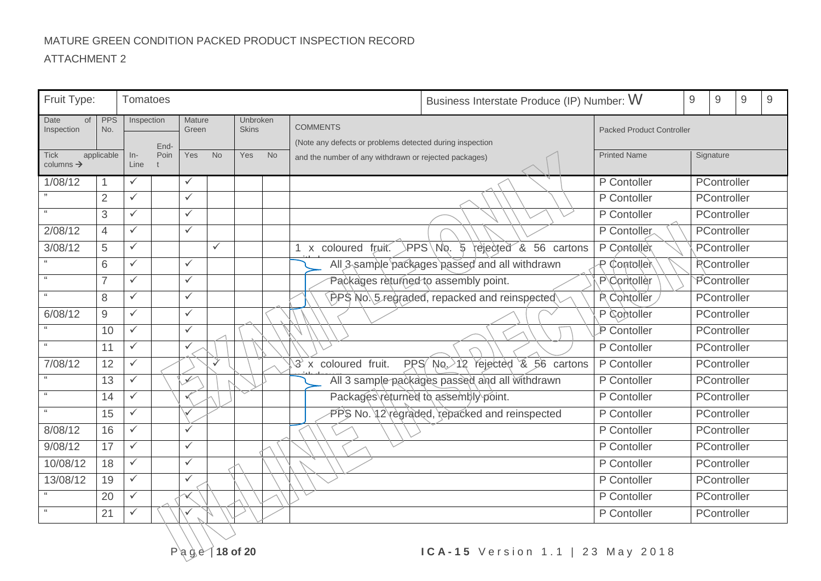## MATURE GREEN CONDITION PACKED PRODUCT INSPECTION RECORD

| Fruit Type:              |                   | Tomatoes     |              |                          |              |                          |           |                                                          | Business Interstate Produce (IP) Number: W<br>9 |                                  |           | 9                  | $\mathsf 9$ | $\overline{9}$ |
|--------------------------|-------------------|--------------|--------------|--------------------------|--------------|--------------------------|-----------|----------------------------------------------------------|-------------------------------------------------|----------------------------------|-----------|--------------------|-------------|----------------|
| Date<br>of<br>Inspection | <b>PPS</b><br>No. | Inspection   |              | Mature<br>Green          |              | Unbroken<br><b>Skins</b> |           | <b>COMMENTS</b>                                          |                                                 | <b>Packed Product Controller</b> |           |                    |             |                |
|                          |                   |              |              |                          |              |                          |           | (Note any defects or problems detected during inspection |                                                 |                                  |           |                    |             |                |
| <b>Tick</b>              | applicable        | $In-$        | End-<br>Poin | Yes                      | <b>No</b>    | <b>Yes</b>               | <b>No</b> | and the number of any withdrawn or rejected packages)    |                                                 | <b>Printed Name</b>              | Signature |                    |             |                |
| columns $\rightarrow$    |                   | Line         |              |                          |              |                          |           |                                                          |                                                 |                                  |           |                    |             |                |
| 1/08/12                  | 1                 | $\checkmark$ |              | $\checkmark$             |              |                          |           |                                                          |                                                 | P Contoller                      |           | PController        |             |                |
|                          | $\overline{2}$    | $\checkmark$ |              | $\checkmark$             |              |                          |           |                                                          |                                                 | P Contoller                      |           | PController        |             |                |
| $\mathbf{66}$            | 3                 | $\checkmark$ |              | $\checkmark$             |              |                          |           |                                                          |                                                 | P Contoller                      |           | PController        |             |                |
| 2/08/12                  | $\overline{4}$    | $\checkmark$ |              | $\checkmark$             |              |                          |           |                                                          |                                                 | P Contoller                      |           | PController        |             |                |
| 3/08/12                  | 5                 | $\checkmark$ |              |                          | $\checkmark$ |                          |           | 1 x coloured fruit.                                      | >PPS\No. ५<br>rejected & 56 cartons             | P Conteller                      |           | PController        |             |                |
|                          | 6                 | $\checkmark$ |              | $\checkmark$             |              |                          |           |                                                          | All 3 sample packages passed and all withdrawn  | P Contoller                      |           | <b>RController</b> |             |                |
| 66                       | $\overline{7}$    | $\checkmark$ |              | $\checkmark$             |              |                          |           | Packages returned to assembly point.                     |                                                 | P Contoller                      |           | PController        |             |                |
| 66                       | 8                 | $\checkmark$ |              | $\checkmark$             |              |                          |           |                                                          | $PPS$ No. 5 regraded, repacked and reinspected  | P. Contoller                     |           | PController        |             |                |
| 6/08/12                  | $9\,$             | $\checkmark$ |              | $\checkmark$             |              |                          |           |                                                          |                                                 | P Contoller                      |           | PController        |             |                |
|                          | 10                | $\checkmark$ |              | $\checkmark$             |              |                          |           |                                                          |                                                 | P Contoller                      |           | PController        |             |                |
|                          | 11                | $\checkmark$ |              | $\checkmark$             |              |                          |           |                                                          |                                                 | P Contoller                      |           | PController        |             |                |
| 7/08/12                  | 12                | $\checkmark$ |              |                          | $\checkmark$ |                          |           | $\mathcal{F}$ x coloured fruit.                          | PPS $Na \rightarrow 12$ rejected $8.56$ cartons | P Contoller                      |           | PController        |             |                |
| $\mathbf{66}$            | 13                | $\checkmark$ |              | $\overline{\mathscr{I}}$ |              |                          |           |                                                          | All 3 sample packages passed and all withdrawn  | P Contoller                      |           | PController        |             |                |
| 66                       | 14                | $\checkmark$ |              |                          |              |                          |           | Packages returned to assembly point.                     |                                                 | P Contoller                      |           | PController        |             |                |
|                          | 15                | $\checkmark$ |              |                          |              |                          |           |                                                          | PPS No. 12 regraded, repacked and reinspected   | P Contoller                      |           | PController        |             |                |
| 8/08/12                  | 16                | $\checkmark$ |              | $\checkmark$             |              |                          |           |                                                          |                                                 | $\overline{P}$ Contoller         |           | PController        |             |                |
| 9/08/12                  | 17                | $\checkmark$ |              | $\checkmark$             |              |                          |           |                                                          |                                                 | P Contoller                      |           | PController        |             |                |
| 10/08/12                 | 18                | $\checkmark$ |              | $\checkmark$             |              |                          |           |                                                          |                                                 | P Contoller                      |           | PController        |             |                |
| 13/08/12                 | 19                | $\checkmark$ |              | $\checkmark$             |              |                          |           |                                                          |                                                 | P Contoller                      |           | PController        |             |                |
|                          | 20                | $\checkmark$ |              |                          |              |                          |           |                                                          |                                                 | P Contoller                      |           | PController        |             |                |
| $\leq \leq$              | 21                | $\checkmark$ |              |                          |              |                          |           |                                                          |                                                 | P Contoller                      |           | PController        |             |                |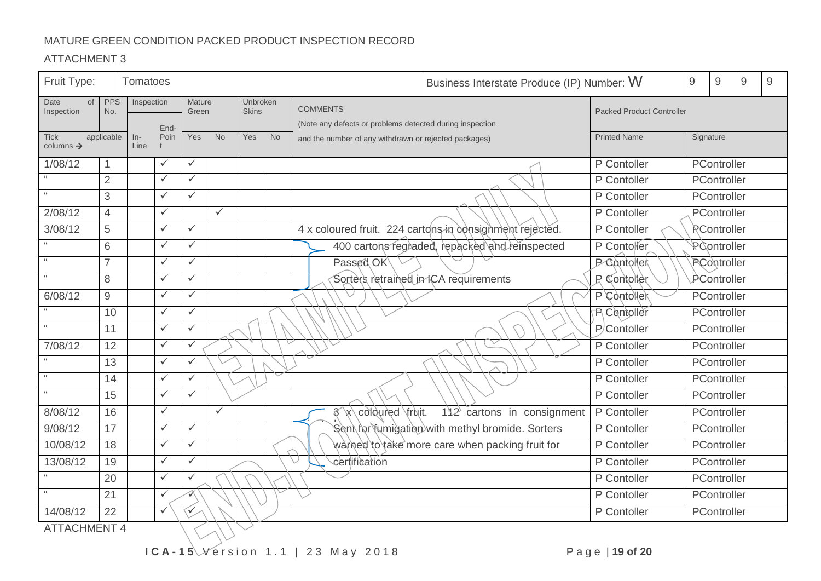### MATURE GREEN CONDITION PACKED PRODUCT INSPECTION RECORD

| Fruit Type:                          |                   | Tomatoes    |              |                 |              |                          |           |                                                          | Business Interstate Produce (IP) Number: W                  |                                  | $\mathsf 9$ | $\mathsf 9$        | $\mathsf 9$ | 9 |
|--------------------------------------|-------------------|-------------|--------------|-----------------|--------------|--------------------------|-----------|----------------------------------------------------------|-------------------------------------------------------------|----------------------------------|-------------|--------------------|-------------|---|
| Date<br><b>of</b><br>Inspection      | <b>PPS</b><br>No. | Inspection  |              | Mature<br>Green |              | Unbroken<br><b>Skins</b> |           | <b>COMMENTS</b>                                          |                                                             | <b>Packed Product Controller</b> |             |                    |             |   |
|                                      |                   |             | End-         |                 |              |                          |           | (Note any defects or problems detected during inspection |                                                             |                                  |             |                    |             |   |
| <b>Tick</b><br>columns $\rightarrow$ | applicable        | ln-<br>Line | Poin         | Yes             | <b>No</b>    | <b>Yes</b>               | <b>No</b> | and the number of any withdrawn or rejected packages)    |                                                             | <b>Printed Name</b>              |             | Signature          |             |   |
| 1/08/12                              |                   |             | $\checkmark$ | $\checkmark$    |              |                          |           |                                                          |                                                             | P Contoller                      |             | PController        |             |   |
|                                      | $\overline{2}$    |             | $\checkmark$ | $\checkmark$    |              |                          |           |                                                          |                                                             | P Contoller                      |             | PController        |             |   |
| $66\,$                               | 3                 |             | $\checkmark$ | $\checkmark$    |              |                          |           |                                                          |                                                             | P Contoller                      |             | PController        |             |   |
| 2/08/12                              | $\overline{4}$    |             | $\checkmark$ |                 | $\checkmark$ |                          |           |                                                          |                                                             | P Contoller                      |             | PController        |             |   |
| 3/08/12                              | $\sqrt{5}$        |             | $\checkmark$ | $\checkmark$    |              |                          |           |                                                          | 4 x coloured fruit. 224 cartons in consignment rejected.    | P Contoller                      |             | <b>RController</b> |             |   |
|                                      | 6                 |             | $\checkmark$ | ✓               |              |                          |           |                                                          | 400 cartons regiaded, repacked and reinspected              | P Contoller                      |             | PController        |             |   |
|                                      | $\overline{7}$    |             | $\checkmark$ | $\checkmark$    |              |                          |           | Passed OK                                                |                                                             | <b>P</b> Contoller               |             | PController        |             |   |
| 66                                   | 8                 |             | $\checkmark$ | $\checkmark$    |              |                          |           |                                                          | Sorters retrained in ICA requirements<br><b>P</b> Contoller |                                  |             | PController        |             |   |
| 6/08/12                              | $9\,$             |             | $\checkmark$ | ✓               |              |                          |           |                                                          |                                                             | P Contoller                      |             | PController        |             |   |
|                                      | 10                |             | $\checkmark$ | $\checkmark$    |              |                          |           |                                                          |                                                             | <b>R</b> Contoller               |             | PController        |             |   |
| 66                                   | 11                |             | $\checkmark$ | $\checkmark$    |              |                          |           |                                                          |                                                             | P/Contoller                      |             | PController        |             |   |
| 7/08/12                              | 12                |             | $\checkmark$ | $\checkmark$    |              |                          |           |                                                          | ▽                                                           | P Contoller                      |             | PController        |             |   |
|                                      | 13                |             | $\checkmark$ | $\checkmark$    |              |                          |           |                                                          |                                                             | $\overline{P}$ Contoller         |             | PController        |             |   |
| $66\,$                               | 14                |             | $\checkmark$ | $\checkmark$    |              |                          |           |                                                          |                                                             | P Contoller                      |             | PController        |             |   |
| 66                                   | 15                |             | $\checkmark$ | ✓               |              |                          |           |                                                          |                                                             | P Contoller                      |             | PController        |             |   |
| 8/08/12                              | 16                |             | $\checkmark$ |                 | $\checkmark$ |                          |           | 3 x coloured fruit.                                      | $112$ cartons in consignment                                | P Contoller                      |             | PController        |             |   |
| 9/08/12                              | 17                |             | $\checkmark$ | $\checkmark$    |              |                          |           |                                                          | Sent for fumigation with methyl bromide. Sorters            | P Contoller                      |             | PController        |             |   |
| 10/08/12                             | 18                |             | $\checkmark$ | $\checkmark$    |              |                          |           |                                                          | warned to take more care when packing fruit for             | P Contoller                      |             | PController        |             |   |
| 13/08/12                             | 19                |             | $\checkmark$ | $\checkmark$    |              |                          |           | certification                                            |                                                             | P Contoller                      |             | PController        |             |   |
|                                      | 20                |             | $\checkmark$ | $\checkmark$    |              |                          |           |                                                          |                                                             | P Contoller                      |             | PController        |             |   |
| $\mathfrak{c}\mathfrak{c}$           | 21                |             | $\checkmark$ | «               |              |                          |           |                                                          |                                                             | P Contoller                      |             | PController        |             |   |
| 14/08/12                             | 22                |             | $\checkmark$ | ✓               |              |                          |           |                                                          |                                                             | P Contoller                      |             | PController        |             |   |
| <b>ATTACHMENT 4</b>                  |                   |             |              |                 |              |                          |           |                                                          |                                                             |                                  |             |                    |             |   |